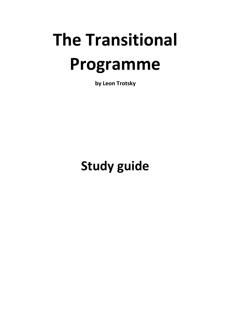# **The Transitional Programme**

**by Leon Trotsky**

# **Study guide**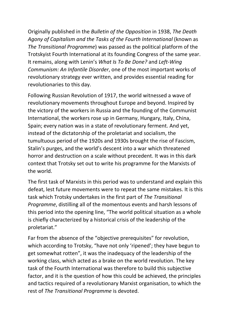Originally published in the *Bulletin of the Opposition* in 1938, *The Death Agony of Capitalism and the Tasks of the Fourth International* (known as *The Transitional Programme*) was passed as the political platform of the Trotskyist Fourth International at its founding Congress of the same year. It remains, along with Lenin's *What Is To Be Done?* and *Left-Wing Communism: An Infantile Disorder*, one of the most important works of revolutionary strategy ever written, and provides essential reading for revolutionaries to this day.

Following Russian Revolution of 1917, the world witnessed a wave of revolutionary movements throughout Europe and beyond. Inspired by the victory of the workers in Russia and the founding of the Communist International, the workers rose up in Germany, Hungary, Italy, China, Spain; every nation was in a state of revolutionary ferment. And yet, instead of the dictatorship of the proletariat and socialism, the tumultuous period of the 1920s and 1930s brought the rise of Fascism, Stalin's purges, and the world's descent into a war which threatened horror and destruction on a scale without precedent. It was in this dark context that Trotsky set out to write his programme for the Marxists of the world.

The first task of Marxists in this period was to understand and explain this defeat, lest future movements were to repeat the same mistakes. It is this task which Trotsky undertakes in the first part of *The Transitional Programme*, distilling all of the momentous events and harsh lessons of this period into the opening line, "The world political situation as a whole is chiefly characterized by a historical crisis of the leadership of the proletariat."

Far from the absence of the "objective prerequisites" for revolution, which according to Trotsky, "have not only 'ripened'; they have begun to get somewhat rotten", it was the inadequacy of the leadership of the working class, which acted as a brake on the world revolution. The key task of the Fourth International was therefore to build this subjective factor, and it is the question of how this could be achieved, the principles and tactics required of a revolutionary Marxist organisation, to which the rest of *The Transitional Programme* is devoted.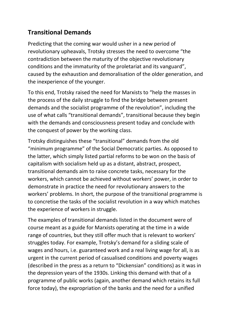## **Transitional Demands**

Predicting that the coming war would usher in a new period of revolutionary upheavals, Trotsky stresses the need to overcome "the contradiction between the maturity of the objective revolutionary conditions and the immaturity of the proletariat and its vanguard", caused by the exhaustion and demoralisation of the older generation, and the inexperience of the younger.

To this end, Trotsky raised the need for Marxists to "help the masses in the process of the daily struggle to find the bridge between present demands and the socialist programme of the revolution", including the use of what calls "transitional demands", transitional because they begin with the demands and consciousness present today and conclude with the conquest of power by the working class.

Trotsky distinguishes these "transitional" demands from the old "minimum programme" of the Social Democratic parties. As opposed to the latter, which simply listed partial reforms to be won on the basis of capitalism with socialism held up as a distant, abstract, prospect, transitional demands aim to raise concrete tasks, necessary for the workers, which cannot be achieved without workers' power, in order to demonstrate in practice the need for revolutionary answers to the workers' problems. In short, the purpose of the transitional programme is to concretise the tasks of the socialist revolution in a way which matches the experience of workers in struggle.

The examples of transitional demands listed in the document were of course meant as a guide for Marxists operating at the time in a wide range of countries, but they still offer much that is relevant to workers' struggles today. For example, Trotsky's demand for a sliding scale of wages and hours, i.e. guaranteed work and a real living wage for all, is as urgent in the current period of casualised conditions and poverty wages (described in the press as a return to "Dickensian" conditions) as it was in the depression years of the 1930s. Linking this demand with that of a programme of public works (again, another demand which retains its full force today), the expropriation of the banks and the need for a unified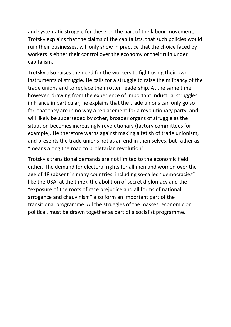and systematic struggle for these on the part of the labour movement, Trotsky explains that the claims of the capitalists, that such policies would ruin their businesses, will only show in practice that the choice faced by workers is either their control over the economy or their ruin under capitalism.

Trotsky also raises the need for the workers to fight using their own instruments of struggle. He calls for a struggle to raise the militancy of the trade unions and to replace their rotten leadership. At the same time however, drawing from the experience of important industrial struggles in France in particular, he explains that the trade unions can only go so far, that they are in no way a replacement for a revolutionary party, and will likely be superseded by other, broader organs of struggle as the situation becomes increasingly revolutionary (factory committees for example). He therefore warns against making a fetish of trade unionism, and presents the trade unions not as an end in themselves, but rather as "means along the road to proletarian revolution".

Trotsky's transitional demands are not limited to the economic field either. The demand for electoral rights for all men and women over the age of 18 (absent in many countries, including so-called "democracies" like the USA, at the time), the abolition of secret diplomacy and the "exposure of the roots of race prejudice and all forms of national arrogance and chauvinism" also form an important part of the transitional programme. All the struggles of the masses, economic or political, must be drawn together as part of a socialist programme.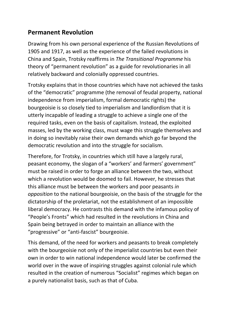#### **Permanent Revolution**

Drawing from his own personal experience of the Russian Revolutions of 1905 and 1917, as well as the experience of the failed revolutions in China and Spain, Trotsky reaffirms in *The Transitional Programme* his theory of "permanent revolution" as a guide for revolutionaries in all relatively backward and colonially oppressed countries.

Trotsky explains that in those countries which have not achieved the tasks of the "democratic" programme (the removal of feudal property, national independence from imperialism, formal democratic rights) the bourgeoisie is so closely tied to imperialism and landlordism that it is utterly incapable of leading a struggle to achieve a single one of the required tasks, even on the basis of capitalism. Instead, the exploited masses, led by the working class, must wage this struggle themselves and in doing so inevitably raise their own demands which go far beyond the democratic revolution and into the struggle for socialism.

Therefore, for Trotsky, in countries which still have a largely rural, peasant economy, the slogan of a "workers' and farmers' government" must be raised in order to forge an alliance between the two, without which a revolution would be doomed to fail. However, he stresses that this alliance must be between the workers and poor peasants *in opposition* to the national bourgeoisie, on the basis of the struggle for the dictatorship of the proletariat, not the establishment of an impossible liberal democracy. He contrasts this demand with the infamous policy of "People's Fronts" which had resulted in the revolutions in China and Spain being betrayed in order to maintain an alliance with the "progressive" or "anti-fascist" bourgeoisie.

This demand, of the need for workers and peasants to break completely with the bourgeoisie not only of the imperialist countries but even their own in order to win national independence would later be confirmed the world over in the wave of inspiring struggles against colonial rule which resulted in the creation of numerous "Socialist" regimes which began on a purely nationalist basis, such as that of Cuba.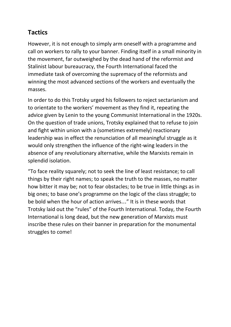## **Tactics**

However, it is not enough to simply arm oneself with a programme and call on workers to rally to your banner. Finding itself in a small minority in the movement, far outweighed by the dead hand of the reformist and Stalinist labour bureaucracy, the Fourth International faced the immediate task of overcoming the supremacy of the reformists and winning the most advanced sections of the workers and eventually the masses.

In order to do this Trotsky urged his followers to reject sectarianism and to orientate to the workers' movement as they find it, repeating the advice given by Lenin to the young Communist International in the 1920s. On the question of trade unions, Trotsky explained that to refuse to join and fight within union with a (sometimes extremely) reactionary leadership was in effect the renunciation of all meaningful struggle as it would only strengthen the influence of the right-wing leaders in the absence of any revolutionary alternative, while the Marxists remain in splendid isolation.

"To face reality squarely; not to seek the line of least resistance; to call things by their right names; to speak the truth to the masses, no matter how bitter it may be; not to fear obstacles; to be true in little things as in big ones; to base one's programme on the logic of the class struggle; to be bold when the hour of action arrives…" It is in these words that Trotsky laid out the "rules" of the Fourth International. Today, the Fourth International is long dead, but the new generation of Marxists must inscribe these rules on their banner in preparation for the monumental struggles to come!